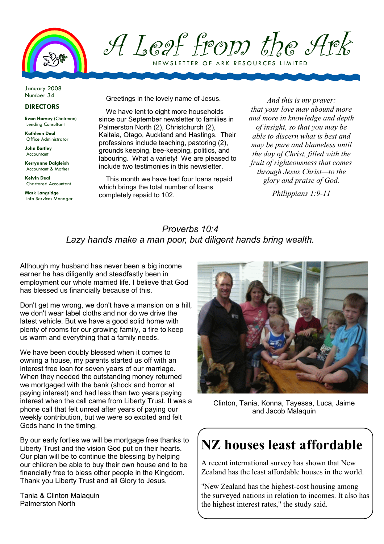

A Leaf from the Ark N E W SLETTER OF ARK RESOURCES LIMITED

January 2008 Number 34

#### DIRECTORS

Evan Harvey (Chairman) Lending Consultant

Kathleen Deal Office Administrator

John Bartley Accountant

Kerryanne Dalgleish Accountant & Mother

Kelvin Deal Chartered Accountant

Mark Langridge Info Services Manager Greetings in the lovely name of Jesus.

We have lent to eight more households since our September newsletter to families in Palmerston North (2), Christchurch (2), Kaitaia, Otago, Auckland and Hastings. Their professions include teaching, pastoring (2), grounds keeping, bee-keeping, politics, and labouring. What a variety! We are pleased to include two testimonies in this newsletter.

This month we have had four loans repaid which brings the total number of loans completely repaid to 102.

And this is my prayer: that your love may abound more and more in knowledge and depth of insight, so that you may be able to discern what is best and may be pure and blameless until the day of Christ, filled with the fruit of righteousness that comes through Jesus Christ—to the glory and praise of God.

Philippians 1:9-11

### Proverbs 10:4 Lazy hands make a man poor, but diligent hands bring wealth.

Although my husband has never been a big income earner he has diligently and steadfastly been in employment our whole married life. I believe that God has blessed us financially because of this.

Don't get me wrong, we don't have a mansion on a hill, we don't wear label cloths and nor do we drive the latest vehicle. But we have a good solid home with plenty of rooms for our growing family, a fire to keep us warm and everything that a family needs.

We have been doubly blessed when it comes to owning a house, my parents started us off with an interest free loan for seven years of our marriage. When they needed the outstanding money returned we mortgaged with the bank (shock and horror at paying interest) and had less than two years paying interest when the call came from Liberty Trust. It was a phone call that felt unreal after years of paying our weekly contribution, but we were so excited and felt Gods hand in the timing.

By our early forties we will be mortgage free thanks to Liberty Trust and the vision God put on their hearts. Our plan will be to continue the blessing by helping our children be able to buy their own house and to be financially free to bless other people in the Kingdom. Thank you Liberty Trust and all Glory to Jesus.

Tania & Clinton Malaquin Palmerston North



Clinton, Tania, Konna, Tayessa, Luca, Jaime and Jacob Malaquin

# NZ houses least affordable

A recent international survey has shown that New Zealand has the least affordable houses in the world.

"New Zealand has the highest-cost housing among the surveyed nations in relation to incomes. It also has the highest interest rates," the study said.